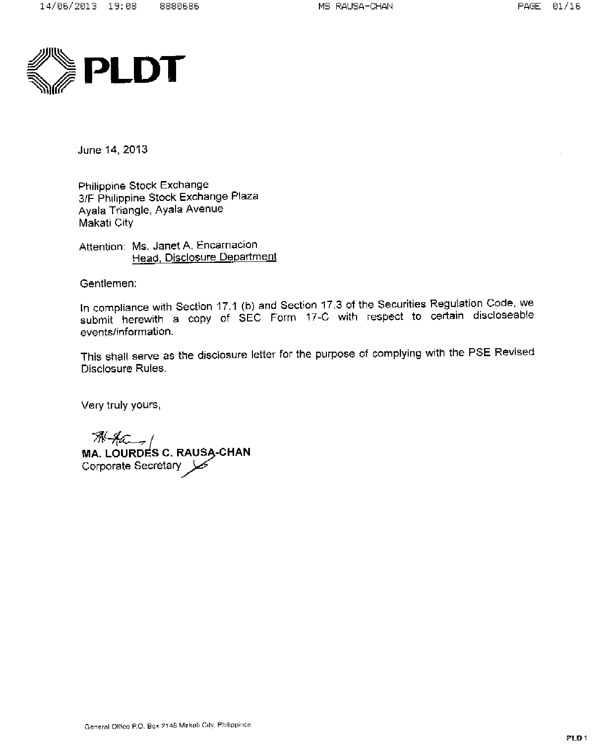

June 14, 2013

Philippine Stock Exchange 3/F Philippine Stock Exchange Plaza Ayala Triangle, Ayala Avenue Makati City

Attention: Ms. Janet A. Encarnacion Head, Disclosure Department

Gentlemen:

In compliance with Section 17.1 (b) and Section 17.3 of the Securities Regulation Code, we submit herewith a copy of SEC Form 17-C with respect to certain discloseable events/information.

This shall serve as the disclosure letter for the purpose of complying with the PSE Revised Disclosure Rules.

Very truly yours,

**A-ACC-1**<br>MA. LOURDES C. RAUSA-CHAN Corporate Secretary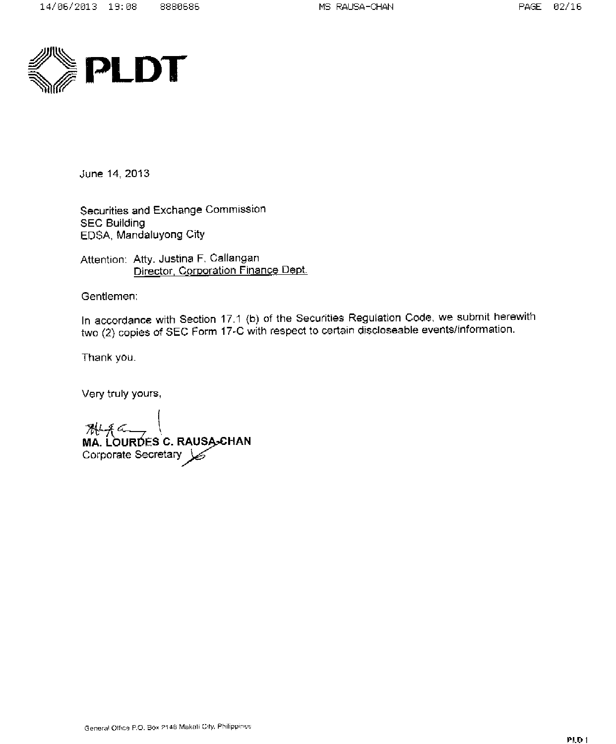

June 14, 2013

Securities and Exchange Commission **SEC Building** EDSA, Mandaluyong City

Attention: Atty, Justina F. Callangan Director, Corporation Finance Dept.

Gentlemen:

In accordance with Section 17.1 (b) of the Securities Regulation Code, we submit herewith two (2) copies of SEC Form 17-C with respect to certain discloseable events/information.

Thank you.

Very truly yours,

**ALLACE CONSAGEMENT**<br>MA. LOURDES C. RAUSA-CHAN<br>Corporate Secretary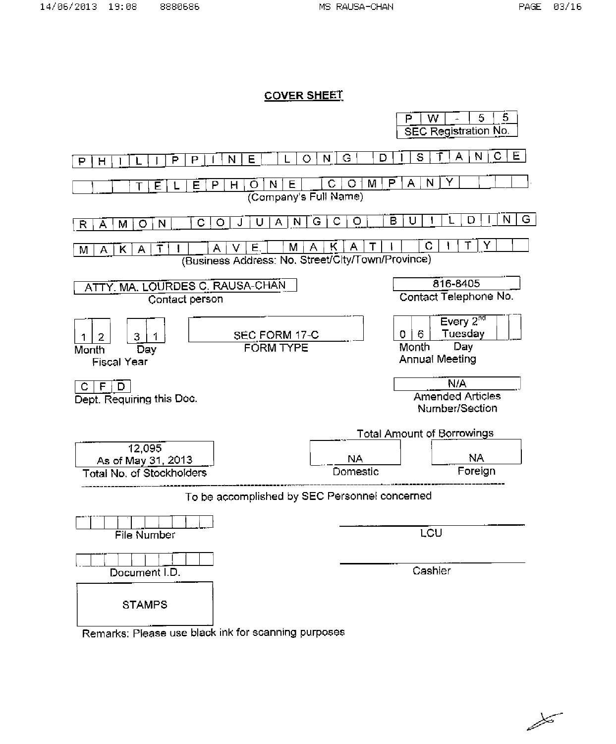#### **COVER SHEET**



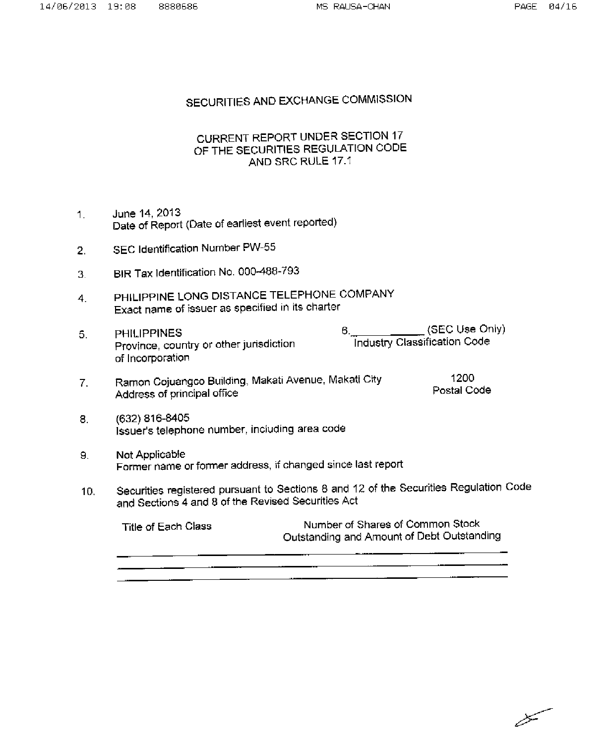## SECURITIES AND EXCHANGE COMMISSION

## CURRENT REPORT UNDER SECTION 17 OF THE SECURITIES REGULATION CODE AND SRC RULE 17.1

- June 14, 2013  $1.$ Date of Report (Date of earliest event reported)
- SEC Identification Number PW-55  $2.$
- BIR Tax Identification No. 000-488-793 3.
- PHILIPPINE LONG DISTANCE TELEPHONE COMPANY  $4<sub>1</sub>$ Exact name of issuer as specified in its charter
- (SEC Use Only)  $6_{-}$  $5.$ **PHILIPPINES Industry Classification Code** Province, country or other jurisdiction of Incorporation
- Ramon Cojuangco Building, Makati Avenue, Makati City 1200  $7.$ Postal Code Address of principal office
- (632) 816-8405 8. Issuer's telephone number, including area code
- 9. Not Applicable Former name or former address, if changed since last report
- Securities registered pursuant to Sections 8 and 12 of the Securities Regulation Code  $10<sub>1</sub>$ and Sections 4 and 8 of the Revised Securities Act

| Number of Shares of Common Stock<br>Title of Each Class<br>Outstanding and Amount of Debt Outstanding |  |
|-------------------------------------------------------------------------------------------------------|--|
|-------------------------------------------------------------------------------------------------------|--|

سيبيي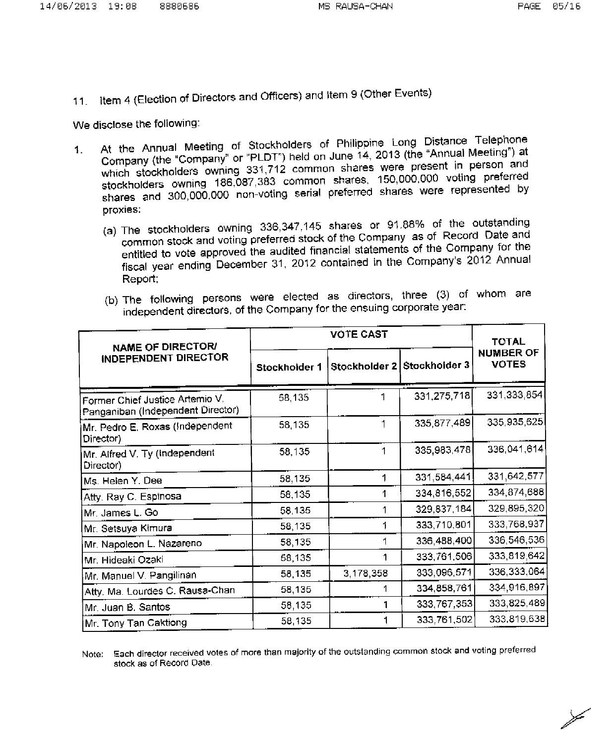11. Item 4 (Election of Directors and Officers) and Item 9 (Other Events)

We disclose the following:

- At the Annual Meeting of Stockholders of Philippine Long Distance Telephone Company (the "Company" or "PLDT") held on June 14, 2013 (the "Annual Meeting") at  $\mathbf{1}$ . which stockholders owning 331,712 common shares were present in person and stockholders owning 186,087,383 common shares, 150,000,000 voting preferred shares and 300,000,000 non-voting serial preferred shares were represented by proxies:
	- (a) The stockholders owning 336,347,145 shares or 91.88% of the outstanding common stock and voting preferred stock of the Company as of Record Date and entitled to vote approved the audited financial statements of the Company for the fiscal year ending December 31, 2012 contained in the Company's 2012 Annual Report;

|  |  |  | (b) The following persons were elected as directors, three (3) of whom are |  |  |  |
|--|--|--|----------------------------------------------------------------------------|--|--|--|
|  |  |  | independent directors, of the Company for the ensuing corporate year:      |  |  |  |

| <b>NAME OF DIRECTOR/</b>                                             |               | <b>TOTAL</b> |                             |                                  |
|----------------------------------------------------------------------|---------------|--------------|-----------------------------|----------------------------------|
| <b>INDEPENDENT DIRECTOR</b>                                          | Stockholder 1 |              | Stockholder 2 Stockholder 3 | <b>NUMBER OF</b><br><b>VOTES</b> |
| Former Chief Justice Artemio V.<br>Panganiban (Independent Director) | 58,135        |              | 331,275,718                 | 331,333,854                      |
| Mr. Pedro E. Roxas (Independent<br>Director)                         | 58,135        | 1            | 335,877,489                 | 335,935,625                      |
| Mr. Alfred V. Ty (Independent<br>Director)                           | 58,135        |              | 335,983,478                 | 336,041,614                      |
| Ms. Helen Y. Dee                                                     | 58,135        | 1            | 331,584,441                 | 331,642,577                      |
| Atty. Ray C. Espinosa                                                | 58,135        |              | 334,816,552                 | 334,874,688                      |
| Mr. James L. Go                                                      | 58,135        |              | 329,837,184                 | 329, 895, 320                    |
| Mr. Setsuya Kimura                                                   | 58,135        |              | 333,710,801                 | 333,768,937                      |
| Mr. Napołeon L. Nazareno                                             | 58,135        |              | 336,488,400                 | 336,546,536                      |
| Mr. Hideaki Ozaki                                                    | 58,135        |              | 333,761,506                 | 333,819,642                      |
| Mr. Manuel V. Pangilinan                                             | 58 135        | 3,178,358    | 333,096,571                 | 336, 333, 064                    |
| Atty, Ma. Lourdes C. Rausa-Chan                                      | 58,135        |              | 334,858,761                 | 334,916,897                      |
| Mr. Juan B. Santos                                                   | 58 135        |              | 333,767,353                 | 333,825,489                      |
| Mr. Tony Tan Caktiong                                                | 58 135        |              | 333,761,502                 | 333,819,638                      |

Note: Each director received votes of more than majority of the outstanding common stock and voting preferred stock as of Record Date.

 $\frac{1}{\sqrt{2}}$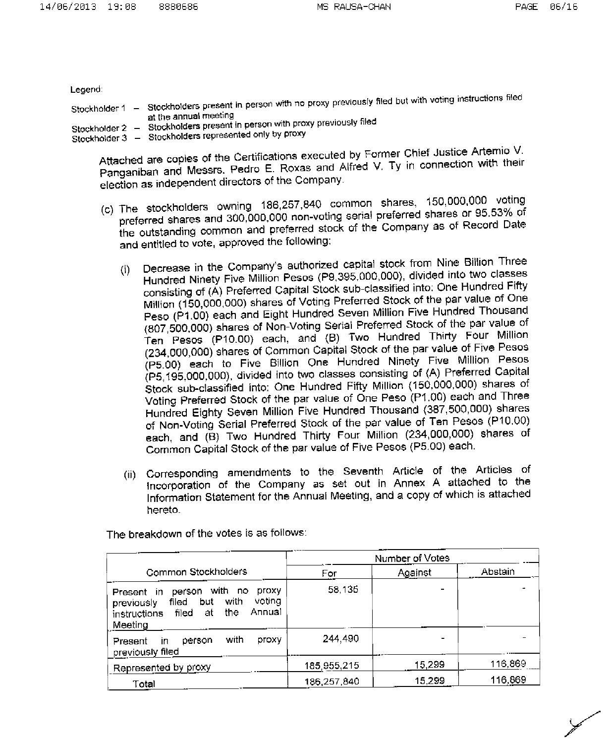Legend:

| ____                                                            |                                                                                                                           |
|-----------------------------------------------------------------|---------------------------------------------------------------------------------------------------------------------------|
| Stockholder 1                                                   | Stockholders present in person with no proxy previously filed but with voting instructions filed<br>at the annual meeting |
| Stockholder 2<br>-<br>Stockholder 3<br>$\overline{\phantom{m}}$ | Stockholders present in person with proxy previously filed<br>Stockholders represented only by proxy                      |

Attached are copies of the Certifications executed by Former Chief Justice Artemio V. Panganiban and Messrs. Pedro E. Roxas and Alfred V. Ty in connection with their election as independent directors of the Company.

- (c) The stockholders owning 186,257,840 common shares, 150,000,000 voting preferred shares and 300,000,000 non-voting serial preferred shares or 95.53% of the outstanding common and preferred stock of the Company as of Record Date and entitled to vote, approved the following:
	- Decrease in the Company's authorized capital stock from Nine Billion Three  $(i)$ Hundred Ninety Five Million Pesos (P9,395,000,000), divided into two classes consisting of (A) Preferred Capital Stock sub-classified into: One Hundred Fifty Million (150,000,000) shares of Voting Preferred Stock of the par value of One Peso (P1.00) each and Eight Hundred Seven Million Five Hundred Thousand (807,500,000) shares of Non-Voting Serial Preferred Stock of the par value of Ten Pesos (P10.00) each, and (B) Two Hundred Thirty Four Million (234,000,000) shares of Common Capital Stock of the par value of Five Pesos (P5.00) each to Five Billion One Hundred Ninety Five Million Pesos (P5,195,000,000), divided into two classes consisting of (A) Preferred Capital Stock sub-classified into: One Hundred Fifty Million (150,000,000) shares of Voting Preferred Stock of the par value of One Peso (P1.00) each and Three Hundred Eighty Seven Million Five Hundred Thousand (387,500,000) shares of Non-Voting Serial Preferred Stock of the par value of Ten Pesos (P10.00) each, and (B) Two Hundred Thirty Four Million (234,000,000) shares of Common Capital Stock of the par value of Five Pesos (P5.00) each.
	- (ii) Corresponding amendments to the Seventh Article of the Articles of Incorporation of the Company as set out in Annex A attached to the Information Statement for the Annual Meeting, and a copy of which is attached hereto.

|                                                                                                                                                     | Number of Votes |         |         |  |
|-----------------------------------------------------------------------------------------------------------------------------------------------------|-----------------|---------|---------|--|
| Common Stockholders                                                                                                                                 | For             | Against | Abstain |  |
| with no<br>ргоху<br>person<br>Present in<br>votina<br>with<br>but<br>filed<br>previously<br>Annual<br>the<br>filed<br>at<br>instructions<br>Meeting | 58,135          |         |         |  |
| with<br>proxy<br>person<br>Present<br>in<br>previously filed                                                                                        | 244,490         |         |         |  |
| Represented by proxy                                                                                                                                | 185,955,215     | 15,299  | 116,869 |  |
| Total                                                                                                                                               | 186,257,840     | 15.299  | 116,869 |  |

The breakdown of the votes is as follows: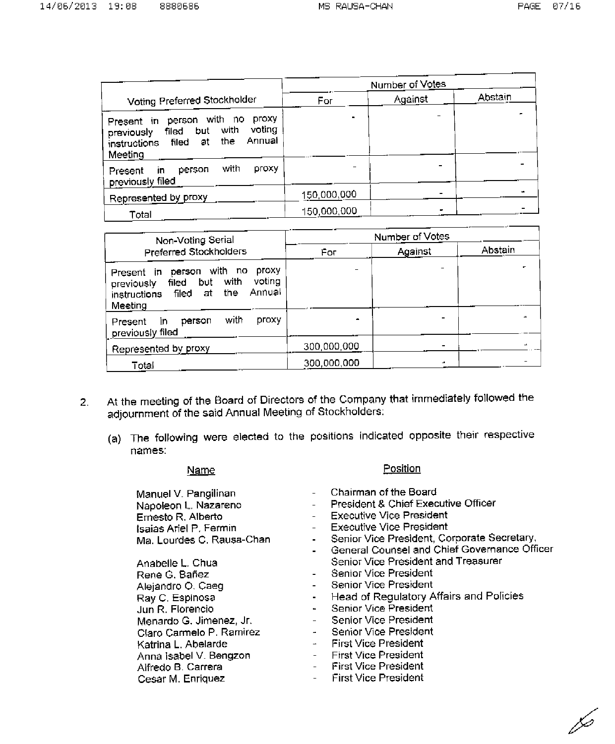|                                                                                                                                                  |             | Number of Votes |         |  |
|--------------------------------------------------------------------------------------------------------------------------------------------------|-------------|-----------------|---------|--|
| Voting Preferred Stockholder                                                                                                                     | For         | Against         | Abstain |  |
| proxy<br>person with no<br>Present in<br>voting<br>with<br>but<br>filed<br>previously<br>Annual<br>the<br>filed<br>at<br>instructions<br>Meeting |             |                 |         |  |
| with<br>proxy<br>person<br>Present<br>in.<br>previously filed                                                                                    |             |                 |         |  |
| Represented by proxy                                                                                                                             | 150,000,000 |                 |         |  |
| Total                                                                                                                                            | 150,000,000 |                 |         |  |

| Non-Voting Serial                                                                                                                                | Number of Votes |         |         |  |  |
|--------------------------------------------------------------------------------------------------------------------------------------------------|-----------------|---------|---------|--|--|
| Preferred Stockholders                                                                                                                           | For             | Against | Abstain |  |  |
| proxy<br>person with no<br>Present in<br>voting<br>with<br>but<br>filed<br>previously<br>Annual<br>the<br>filed<br>at<br>instructions<br>Meeting |                 |         |         |  |  |
| with<br>ргоху<br>person<br>īn<br>Present<br>previously filed                                                                                     | $\mathbf{m}$    |         |         |  |  |
| Represented by proxy                                                                                                                             | 300,000,000     |         |         |  |  |
| Total                                                                                                                                            | 300,000,000     |         |         |  |  |

- At the meeting of the Board of Directors of the Company that immediately followed the  $\overline{2}$ . adjournment of the said Annual Meeting of Stockholders:
	- (a) The following were elected to the positions indicated opposite their respective names:

#### Name

#### Manuel V. Pangilinan Napoleon L. Nazareno Ernesto R. Alberto Isaias Ariel P. Fermin Ma. Lourdes C. Rausa-Chan

Anabelle L. Chua Rene G. Bañez Alejandro O. Caeg Ray C. Espinosa Jun R. Florencio Menardo G. Jimenez, Jr. Claro Carmelo P. Ramirez Katrina L. Abelarde Anna Isabel V. Bengzon Alfredo B. Carrera Cesar M. Enriquez

- Chairman of the Board
- President & Chief Executive Officer

Position

- **Executive Vice President**
- **Executive Vice President**
- Senior Vice President, Corporate Secretary,  $\mathbf{L}^{\text{eff}}$
- General Counsel and Chief Governance Officer Senior Vice President and Treasurer
- Senior Vice President
- Senior Vice President
- Head of Regulatory Affairs and Policies  $\sim$
- Senior Vice President  $\blacksquare$
- Senior Vice President  $\mathcal{L}^{\pm}$
- Senior Vice President  $\mathbf{r}$
- **First Vice President**  $\Delta \sim 10^{-11}$
- **First Vice President**
- **First Vice President**  $\omega_{\rm{max}}$
- **First Vice President**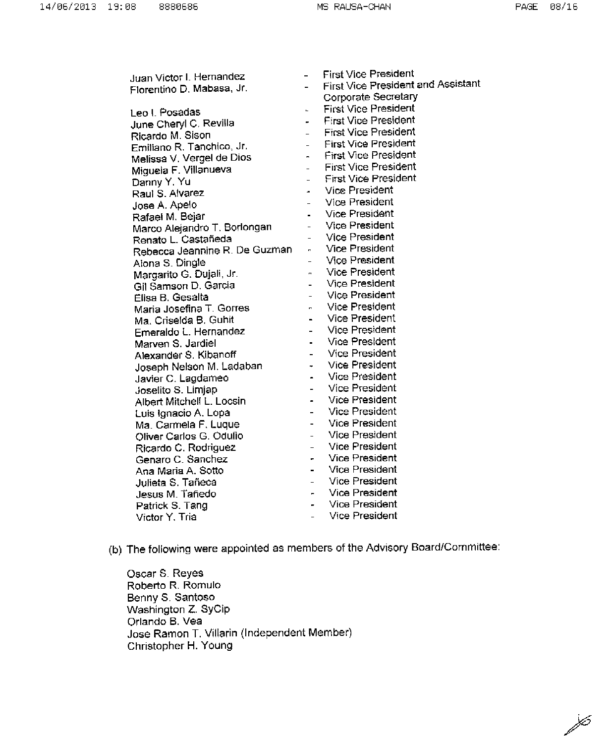$\overline{\mathscr{S}}$ 

| Juan Victor I. Hernandez      |                          | <b>First Vice President</b>        |
|-------------------------------|--------------------------|------------------------------------|
| Fiorentino D. Mabasa, Jr.     |                          | First Vice President and Assistant |
|                               |                          | Corporate Secretary                |
| Leo I. Posadas                | L.                       | <b>First Vice President</b>        |
| June Cheryl C. Revilla        | ÷                        | <b>First Vice President</b>        |
| Ricardo M. Sison              | $\overline{\phantom{0}}$ | <b>First Vice President</b>        |
| Emiliano R. Tanchico, Jr.     | $\sim$                   | <b>First Vice President</b>        |
| Melissa V. Vergel de Dios     | $\sigma$ .               | <b>First Vice President</b>        |
| Miguela F. Villanueva         | $\overline{\phantom{a}}$ | <b>First Vice President</b>        |
| Danny Y. Yu                   | $\overline{\phantom{0}}$ | <b>First Vice President</b>        |
| Raul S. Alvarez               | ä,                       | <b>Vice President</b>              |
| Jose A. Apelo                 |                          | Vice President                     |
| Rafael M. Bejar               |                          | <b>Vice President</b>              |
| Marco Alejandro T. Borlongan  | $\overline{a}$           | <b>Vice President</b>              |
| Renato L. Castañeda           | $\overline{a}$           | <b>Vice President</b>              |
| Rebecca Jeannine R. De Guzman | m.                       | <b>Vice President</b>              |
| Alona S. Dingle               |                          | <b>Vice President</b>              |
| Margarito G. Dujali, Jr.      |                          | <b>Vice President</b>              |
| Gil Samson D. Garcia          |                          | <b>Vice President</b>              |
| Elisa B. Gesalta              | $\overline{a}$           | <b>Vice President</b>              |
| Maria Josefina T. Gorres      | $\blacksquare$           | <b>Vice President</b>              |
| Ma. Criselda B. Guhit         | $\overline{a}$           | Vice President                     |
| Emeraldo L. Hernandez         | $\overline{a}$           | Vice President                     |
| Marven S. Jardiel             | $\blacksquare$           | Vice President                     |
| Alexander S. Kibanoff         | $\overline{\phantom{0}}$ | <b>Vice President</b>              |
| Joseph Nelson M. Ladaban      | ÷                        | <b>Vice President</b>              |
| Javier C. Lagdameo            | ä,                       | Vice President                     |
| Joselito S. Limjap            | $\overline{a}$           | Vice President                     |
| Albert Mitchell L. Locsin     | $\blacksquare$           | <b>Vice President</b>              |
| Luis Ignacio A. Lopa          | $\overline{a}$           | <b>Vice President</b>              |
| Ma. Carmela F. Luque          | $\overline{a}$           | Vice President                     |
| Oliver Carlos G. Odulio       | $\overline{a}$           | <b>Vice President</b>              |
| Ricardo C. Rodriguez          | $\qquad \qquad -$        | <b>Vice President</b>              |
| Genaro C. Sanchez             | ۰                        | Vice President                     |
| Ana Maria A. Sotto            | $\blacksquare$           | <b>Vice President</b>              |
| Julieta S. Tañeca             | ÷.                       | <b>Vice President</b>              |
| Jesus M. Tañedo               | ÷                        | <b>Vice President</b>              |
| Patrick S. Tang               | ÷                        | Vice President                     |
| Victor Y. Tria                | $\overline{a}$           | <b>Vice President</b>              |
|                               |                          |                                    |

(b) The following were appointed as members of the Advisory Board/Committee:

Oscar S. Reyes Roberto R. Romulo Benny S. Santoso Washington Z. SyCip Orlando B. Vea Jose Ramon T. Villarin (Independent Member) Christopher H. Young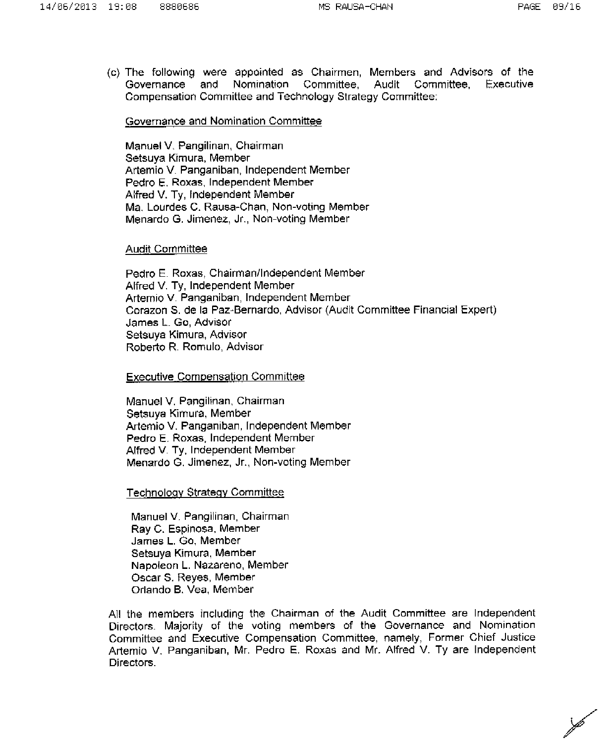(c) The following were appointed as Chairmen, Members and Advisors of the Nomination Governance and Committee. Audit Committee. Executive Compensation Committee and Technology Strategy Committee:

#### Governance and Nomination Committee

Manuel V. Pangilinan, Chairman Setsuva Kimura, Member Artemio V. Panganiban, Independent Member Pedro E. Roxas, Independent Member Alfred V. Ty, Independent Member Ma. Lourdes C. Rausa-Chan. Non-voting Member Menardo G. Jimenez, Jr., Non-voting Member

#### **Audit Committee**

Pedro E. Roxas, Chairman/Independent Member Alfred V. Ty, Independent Member Artemio V. Panganiban, Independent Member Corazon S, de la Paz-Bernardo, Advisor (Audit Committee Financial Expert) James L. Go. Advisor Setsuva Kimura, Advisor Roberto R. Romulo, Advisor

**Executive Compensation Committee** 

Manuel V. Pangilinan, Chairman Setsuva Kimura, Member Artemio V. Panganiban, Independent Member Pedro E. Roxas, Independent Member Alfred V. Ty, Independent Member Menardo G. Jimenez, Jr., Non-voting Member

#### **Technology Strategy Committee**

Manuel V. Pangilinan, Chairman Ray C. Espinosa, Member James L. Go. Member Setsuya Kimura, Member Napoleon L. Nazareno, Member Oscar S. Reves, Member Orlando B. Vea, Member

All the members including the Chairman of the Audit Committee are Independent Directors. Majority of the voting members of the Governance and Nomination Committee and Executive Compensation Committee, namely, Former Chief Justice Artemio V. Panganiban, Mr. Pedro E. Roxas and Mr. Alfred V. Ty are Independent Directors.

Þ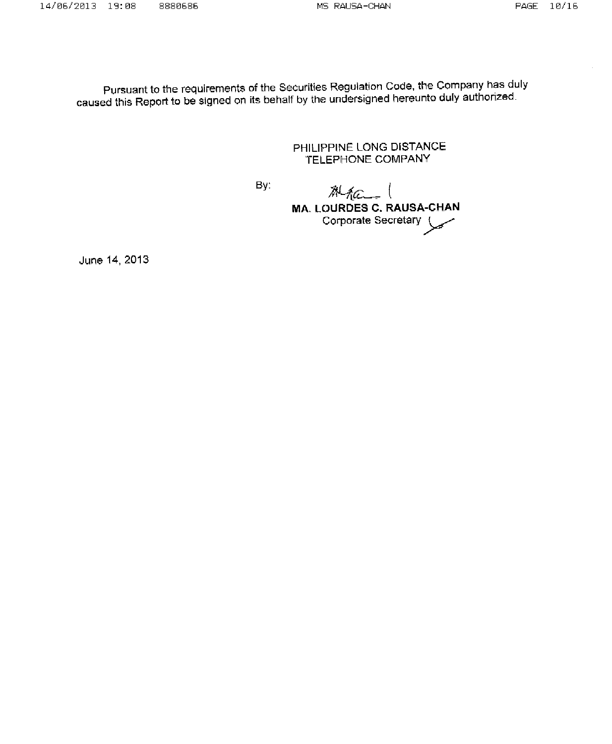Pursuant to the requirements of the Securities Regulation Code, the Company has duly caused this Report to be signed on its behalf by the undersigned hereunto duly authorized.

> PHILIPPINE LONG DISTANCE TELEPHONE COMPANY

By:

Mac ( **MA. LOURDES C. RAUSA-CHAN** Corporate Secretary

June 14, 2013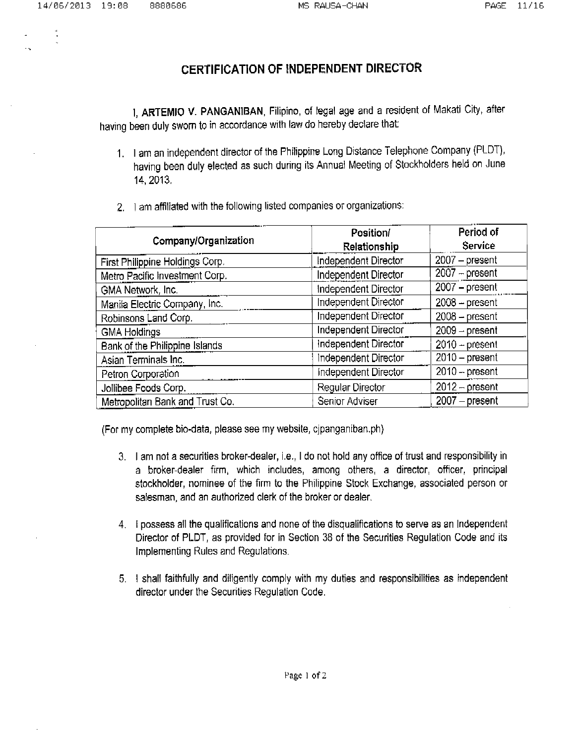## **CERTIFICATION OF INDEPENDENT DIRECTOR**

I, ARTEMIO V. PANGANIBAN, Filipino, of legal age and a resident of Makati City, after having been duly sworn to in accordance with law do hereby declare that:

- 1. I am an independent director of the Philippine Long Distance Telephone Company (PLDT), having been duly elected as such during its Annual Meeting of Stockholders held on June 14, 2013.
- 2. I am affiliated with the following listed companies or organizations:

| Company/Organization            | Position/<br><b>Relationship</b> | Period of<br>Service |
|---------------------------------|----------------------------------|----------------------|
| First Philippine Holdings Corp. | Independent Director             | $2007 - present$     |
| Metro Pacific Investment Corp.  | Independent Director             | $2007 - present$     |
| GMA Network, Inc.               | Independent Director             | $2007 - present$     |
| Manila Electric Company, Inc.   | Independent Director             | $2008 - present$     |
| Robinsons Land Corp.            | Independent Director             | $2008 - present$     |
| <b>GMA Holdings</b>             | Independent Director             | $2009 - present$     |
| Bank of the Philippine Islands  | Independent Director             | $2010 - present$     |
| Asian Terminals Inc.            | Independent Director             | $2010$ – present     |
| Petron Corporation              | Independent Director             | $2010 - present$     |
| Jollibee Foods Corp.            | Regular Director                 | $2012 - present$     |
| Metropolitan Bank and Trust Co. | Senior Adviser                   | $2007 - present$     |

(For my complete bio-data, please see my website, cipanganiban.ph)

- 3. I am not a securities broker-dealer, i.e., I do not hold any office of trust and responsibility in a broker-dealer firm, which includes, among others, a director, officer, principal stockholder, nominee of the firm to the Philippine Stock Exchange, associated person or salesman, and an authorized clerk of the broker or dealer.
- 4. I possess all the qualifications and none of the disqualifications to serve as an Independent Director of PLDT, as provided for in Section 38 of the Securities Regulation Code and its Implementing Rules and Regulations.
- 5. I shall faithfully and diligently comply with my duties and responsibilities as independent director under the Securities Regulation Code.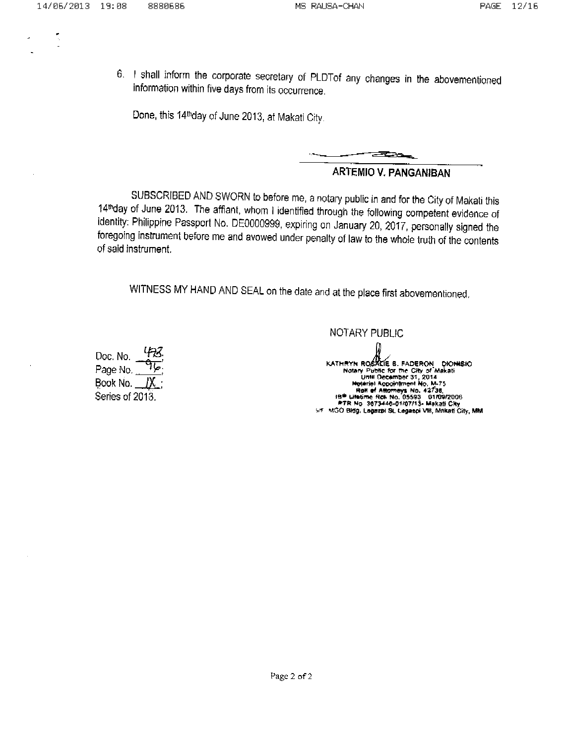6. I shall inform the corporate secretary of PLDTof any changes in the abovementioned information within five days from its occurrence.

Done, this 14<sup>th</sup>day of June 2013, at Makati City.



### **ARTEMIO V. PANGANIBAN**

SUBSCRIBED AND SWORN to before me, a notary public in and for the City of Makati this 14th day of June 2013. The affiant, whom I identified through the following competent evidence of identity: Philippine Passport No. DE0000999, expiring on January 20, 2017, personally signed the foregoing instrument before me and avowed under penalty of law to the whole truth of the contents of said instrument.

WITNESS MY HAND AND SEAL on the date and at the place first abovementioned.

Doc. No. Page No. Book No. Series of 2013. NOTARY PUBLIC

KATHRYN ROSALIE B. FADERON DIONISIO<br>
Notary Public for the City of Makati<br>
Until December 31, 2014<br>
Hotel Modern No. M-75<br>
Roll of Altomeys No. 42735<br>
18<sup>9</sup> Ulletime Roll No. 05593 01/09/2006<br>
ATR No. 3873446-01/07/13-Maka 5/F MGO Bldg, Legazpi St, Legaspi VIII, Makati City, MM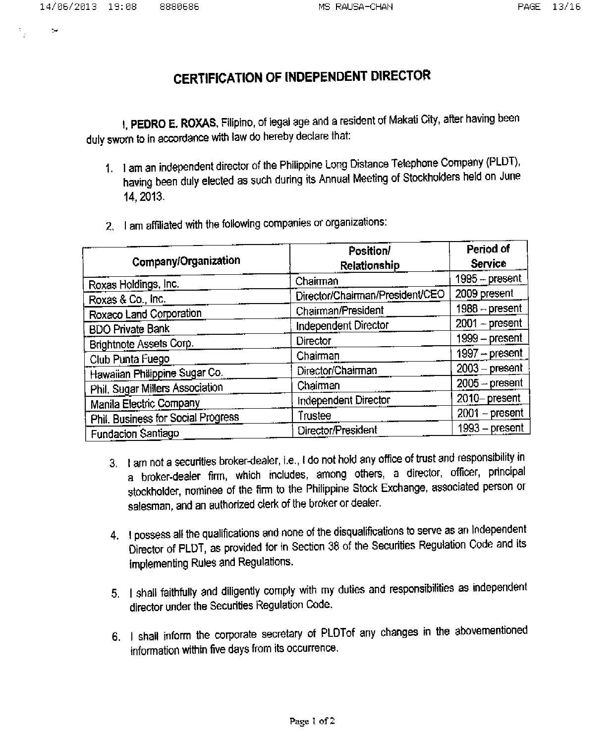مرز

# **CERTIFICATION OF INDEPENDENT DIRECTOR**

I, PEDRO E. ROXAS, Filipino, of legal age and a resident of Makati City, after having been duly sworn to in accordance with law do hereby declare that:

- 1. I am an independent director of the Philippine Long Distance Telephone Company (PLDT), having been duly elected as such during its Annual Meeting of Stockholders held on June 14, 2013.
- 2. I am affiliated with the following companies or organizations:

| Company/Organization               | Position/<br>Relationship       | Period of<br><b>Service</b> |  |
|------------------------------------|---------------------------------|-----------------------------|--|
| Roxas Holdings, Inc.               | Chairman                        | 1995 - present              |  |
| Roxas & Co., Inc.                  | Director/Chairman/President/CEO | 2009 present                |  |
| Roxaco Land Corporation            | Chairman/President              | $1988 - present$            |  |
| <b>BDO Private Bank</b>            | Independent Director            | $2001 - present$            |  |
| Brightnote Assets Corp.            | Director                        | 1999 – present              |  |
| Club Punta Fuego                   | Chairman                        | $1997 - present$            |  |
| Hawaiian Philippine Sugar Co.      | Director/Chairman               | $2003 - present$            |  |
| Phil. Sugar Millers Association    | Chairman                        | $2005 - present$            |  |
| Manila Electric Company            | Independent Director            | 2010-present                |  |
| Phil. Business for Social Progress | Trustee                         | $2001 - present$            |  |
| Fundacion Santiago                 | Director/President              | $1993 - present$            |  |

- 3. I am not a securities broker-dealer, i.e., I do not hold any office of trust and responsibility in a broker-dealer firm, which includes, among others, a director, officer, principal stockholder, nominee of the firm to the Philippine Stock Exchange, associated person or salesman, and an authorized clerk of the broker or dealer.
- 4. I possess all the qualifications and none of the disqualifications to serve as an Independent Director of PLDT, as provided for in Section 38 of the Securities Regulation Code and its implementing Rules and Regulations.
- 5. I shall faithfully and diligently comply with my duties and responsibilities as independent director under the Securities Regulation Code.
- 6. I shall inform the corporate secretary of PLDTof any changes in the abovementioned information within five days from its occurrence.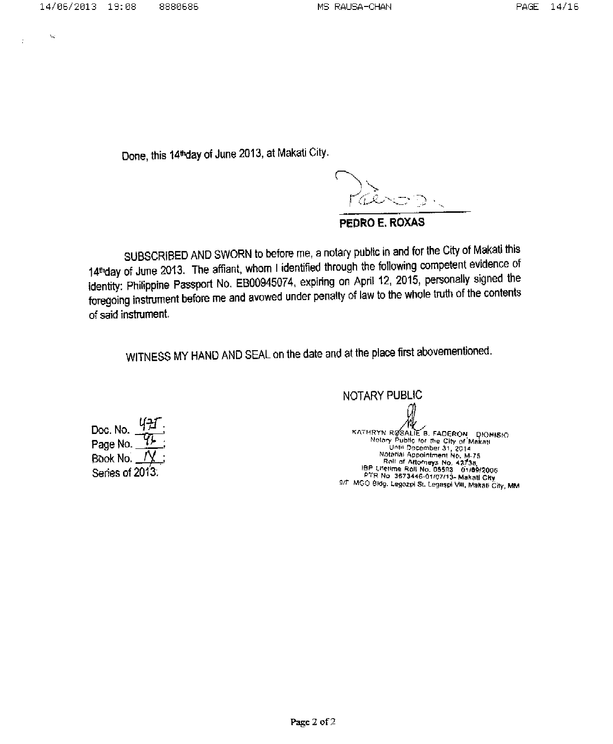$\cup$ 

Done, this 14<sup>th</sup>day of June 2013, at Makati City.

PEDRO E. ROXAS

SUBSCRIBED AND SWORN to before me, a notary public in and for the City of Makati this 14thday of June 2013. The affiant, whom I identified through the following competent evidence of identity: Philippine Passport No. EB00945074, expiring on April 12, 2015, personally signed the foregoing instrument before me and avowed under penalty of law to the whole truth of the contents of said instrument.

WITNESS MY HAND AND SEAL on the date and at the place first abovementioned.

Doc. No. Page No. Book No. Series of 2013:

NOTARY PUBLIC KATHRYN RØSALIE B. FADERON DIONISIO<br>
Notary Public for the City of Makati<br>
Until December 31, 2014<br>
Notarial Appointment No. M-75<br>
IBP Lifetime Roll No. 05593 01/09/2006<br>
PTR No. 3873446-01/07/13- Makati City<br>
9/F MGO Bidg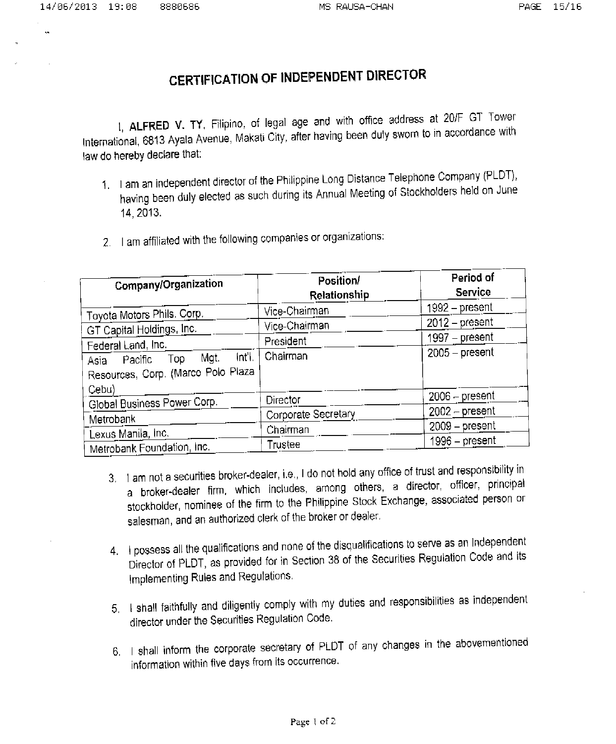14/06/2013 19:08

# **CERTIFICATION OF INDEPENDENT DIRECTOR**

1, ALFRED V. TY, Filipino, of legal age and with office address at 20/F GT Tower International, 6813 Ayala Avenue, Makati City, after having been duly swom to in accordance with law do hereby declare that:

- 1. I am an independent director of the Philippine Long Distance Telephone Company (PLDT), having been duly elected as such during its Annual Meeting of Stockholders held on June 14, 2013.
- 2. I am affiliated with the following companies or organizations:

| Company/Organization                                                           | Position/<br>Relationship | Period of<br>Service |
|--------------------------------------------------------------------------------|---------------------------|----------------------|
| Toyota Motors Phils. Corp.                                                     | Vice-Chairman             | $1992 - present$     |
| GT Capital Holdings, Inc.                                                      | Vice-Chairman             | $2012 - present$     |
| Federal Land, Inc.                                                             | President                 | $1997 - present$     |
| int'i.<br>Mgt.<br>Top<br>Pacific<br>Asia<br>Resources, Corp. (Marco Polo Plaza | Chairman                  | $2005 - present$     |
| Cebu)                                                                          |                           |                      |
| Global Business Power Corp.                                                    | Director                  | $2006 - present$     |
| Metrobank                                                                      | Corporate Secretary       | $2002 -$ present     |
| Lexus Manila, Inc.                                                             | Chairman                  | $2009 - present$     |
| Metrobank Foundation, Inc.                                                     | Trustee                   | 1996 – present       |

- 3. I am not a securities broker-dealer, i.e., I do not hold any office of trust and responsibility in a broker-dealer firm, which includes, among others, a director, officer, principal stockholder, nominee of the firm to the Philippine Stock Exchange, associated person or salesman, and an authorized clerk of the broker or dealer.
- 4. I possess all the qualifications and none of the disqualifications to serve as an Independent Director of PLDT, as provided for in Section 38 of the Securities Regulation Code and its Implementing Rules and Regulations.
- 5. I shall faithfully and diligently comply with my duties and responsibilities as independent director under the Securities Regulation Code.
- 6. I shall inform the corporate secretary of PLDT of any changes in the abovementioned information within five days from its occurrence.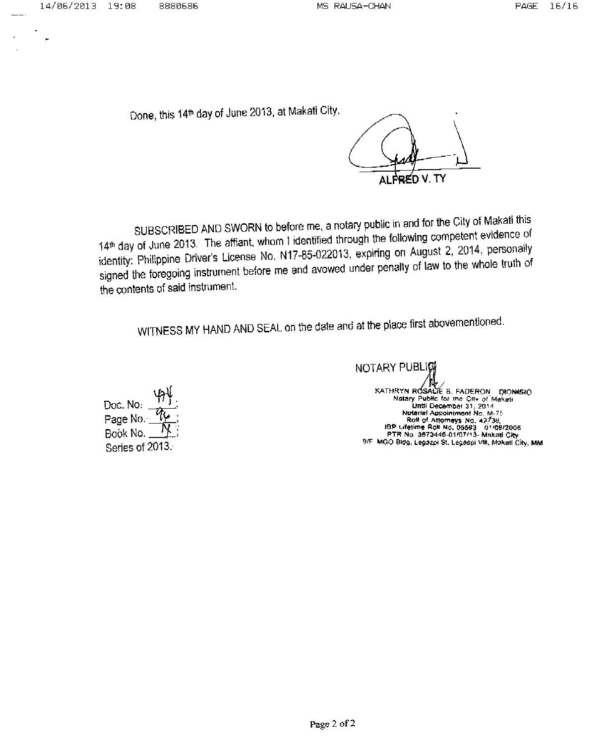Done, this 14<sup>th</sup> day of June 2013, at Makati City.

ALFRED V. TY

SUBSCRIBED AND SWORN to before me, a notary public in and for the City of Makati this 14<sup>th</sup> day of June 2013. The affiant, whom I identified through the following competent evidence of identity: Philippine Driver's License No. N17-85-022013, expiring on August 2, 2014, personally signed the foregoing instrument before me and avowed under penalty of law to the whole truth of the contents of said instrument.

WITNESS MY HAND AND SEAL on the date and at the place first abovementioned.

Doc. No. Page No. Book No Series of 2013.

NOTARY PUBLIC KATHRYN ROSALIE B. FADERON DIONISIO<br>Notary Public for the City of Makati<br>Until December 31, 2014<br>Until Appointment No. M-75<br>Rolf of Attorneys No. 42738,<br>IBP Lifetime Roll No. 05593 01/09/2005<br>PTR No. 3873446-01/07/13- Mak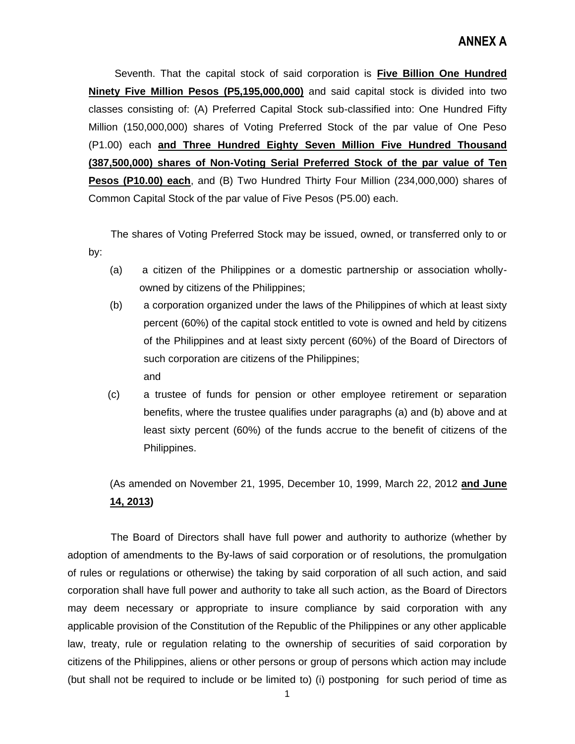Seventh. That the capital stock of said corporation is **Five Billion One Hundred Ninety Five Million Pesos (P5,195,000,000)** and said capital stock is divided into two classes consisting of: (A) Preferred Capital Stock sub-classified into: One Hundred Fifty Million (150,000,000) shares of Voting Preferred Stock of the par value of One Peso (P1.00) each **and Three Hundred Eighty Seven Million Five Hundred Thousand (387,500,000) shares of Non-Voting Serial Preferred Stock of the par value of Ten Pesos (P10.00) each**, and (B) Two Hundred Thirty Four Million (234,000,000) shares of Common Capital Stock of the par value of Five Pesos (P5.00) each.

 The shares of Voting Preferred Stock may be issued, owned, or transferred only to or by:

- (a) a citizen of the Philippines or a domestic partnership or association whollyowned by citizens of the Philippines;
- (b) a corporation organized under the laws of the Philippines of which at least sixty percent (60%) of the capital stock entitled to vote is owned and held by citizens of the Philippines and at least sixty percent (60%) of the Board of Directors of such corporation are citizens of the Philippines; and
- (c) a trustee of funds for pension or other employee retirement or separation benefits, where the trustee qualifies under paragraphs (a) and (b) above and at least sixty percent (60%) of the funds accrue to the benefit of citizens of the Philippines.

(As amended on November 21, 1995, December 10, 1999, March 22, 2012 **and June 14, 2013)**

 The Board of Directors shall have full power and authority to authorize (whether by adoption of amendments to the By-laws of said corporation or of resolutions, the promulgation of rules or regulations or otherwise) the taking by said corporation of all such action, and said corporation shall have full power and authority to take all such action, as the Board of Directors may deem necessary or appropriate to insure compliance by said corporation with any applicable provision of the Constitution of the Republic of the Philippines or any other applicable law, treaty, rule or regulation relating to the ownership of securities of said corporation by citizens of the Philippines, aliens or other persons or group of persons which action may include (but shall not be required to include or be limited to) (i) postponing for such period of time as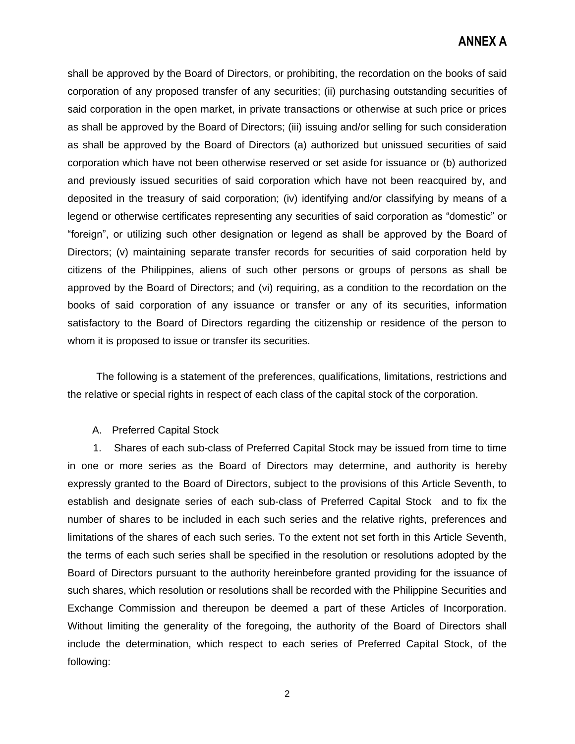## **ANNEX A**

shall be approved by the Board of Directors, or prohibiting, the recordation on the books of said corporation of any proposed transfer of any securities; (ii) purchasing outstanding securities of said corporation in the open market, in private transactions or otherwise at such price or prices as shall be approved by the Board of Directors; (iii) issuing and/or selling for such consideration as shall be approved by the Board of Directors (a) authorized but unissued securities of said corporation which have not been otherwise reserved or set aside for issuance or (b) authorized and previously issued securities of said corporation which have not been reacquired by, and deposited in the treasury of said corporation; (iv) identifying and/or classifying by means of a legend or otherwise certificates representing any securities of said corporation as "domestic" or "foreign", or utilizing such other designation or legend as shall be approved by the Board of Directors; (v) maintaining separate transfer records for securities of said corporation held by citizens of the Philippines, aliens of such other persons or groups of persons as shall be approved by the Board of Directors; and (vi) requiring, as a condition to the recordation on the books of said corporation of any issuance or transfer or any of its securities, information satisfactory to the Board of Directors regarding the citizenship or residence of the person to whom it is proposed to issue or transfer its securities.

 The following is a statement of the preferences, qualifications, limitations, restrictions and the relative or special rights in respect of each class of the capital stock of the corporation.

A. Preferred Capital Stock

1. Shares of each sub-class of Preferred Capital Stock may be issued from time to time in one or more series as the Board of Directors may determine, and authority is hereby expressly granted to the Board of Directors, subject to the provisions of this Article Seventh, to establish and designate series of each sub-class of Preferred Capital Stock and to fix the number of shares to be included in each such series and the relative rights, preferences and limitations of the shares of each such series. To the extent not set forth in this Article Seventh, the terms of each such series shall be specified in the resolution or resolutions adopted by the Board of Directors pursuant to the authority hereinbefore granted providing for the issuance of such shares, which resolution or resolutions shall be recorded with the Philippine Securities and Exchange Commission and thereupon be deemed a part of these Articles of Incorporation. Without limiting the generality of the foregoing, the authority of the Board of Directors shall include the determination, which respect to each series of Preferred Capital Stock, of the following:

2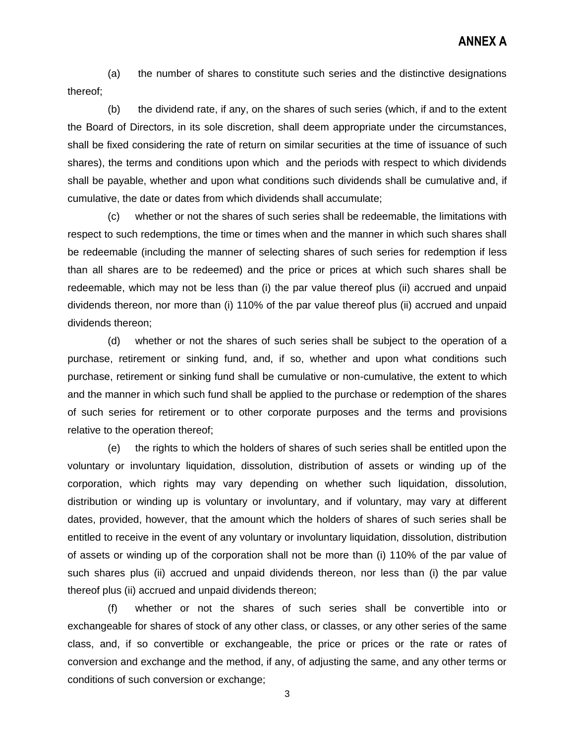(a) the number of shares to constitute such series and the distinctive designations thereof;

(b) the dividend rate, if any, on the shares of such series (which, if and to the extent the Board of Directors, in its sole discretion, shall deem appropriate under the circumstances, shall be fixed considering the rate of return on similar securities at the time of issuance of such shares), the terms and conditions upon which and the periods with respect to which dividends shall be payable, whether and upon what conditions such dividends shall be cumulative and, if cumulative, the date or dates from which dividends shall accumulate;

(c) whether or not the shares of such series shall be redeemable, the limitations with respect to such redemptions, the time or times when and the manner in which such shares shall be redeemable (including the manner of selecting shares of such series for redemption if less than all shares are to be redeemed) and the price or prices at which such shares shall be redeemable, which may not be less than (i) the par value thereof plus (ii) accrued and unpaid dividends thereon, nor more than (i) 110% of the par value thereof plus (ii) accrued and unpaid dividends thereon;

(d) whether or not the shares of such series shall be subject to the operation of a purchase, retirement or sinking fund, and, if so, whether and upon what conditions such purchase, retirement or sinking fund shall be cumulative or non-cumulative, the extent to which and the manner in which such fund shall be applied to the purchase or redemption of the shares of such series for retirement or to other corporate purposes and the terms and provisions relative to the operation thereof;

(e) the rights to which the holders of shares of such series shall be entitled upon the voluntary or involuntary liquidation, dissolution, distribution of assets or winding up of the corporation, which rights may vary depending on whether such liquidation, dissolution, distribution or winding up is voluntary or involuntary, and if voluntary, may vary at different dates, provided, however, that the amount which the holders of shares of such series shall be entitled to receive in the event of any voluntary or involuntary liquidation, dissolution, distribution of assets or winding up of the corporation shall not be more than (i) 110% of the par value of such shares plus (ii) accrued and unpaid dividends thereon, nor less than (i) the par value thereof plus (ii) accrued and unpaid dividends thereon;

(f) whether or not the shares of such series shall be convertible into or exchangeable for shares of stock of any other class, or classes, or any other series of the same class, and, if so convertible or exchangeable, the price or prices or the rate or rates of conversion and exchange and the method, if any, of adjusting the same, and any other terms or conditions of such conversion or exchange;

3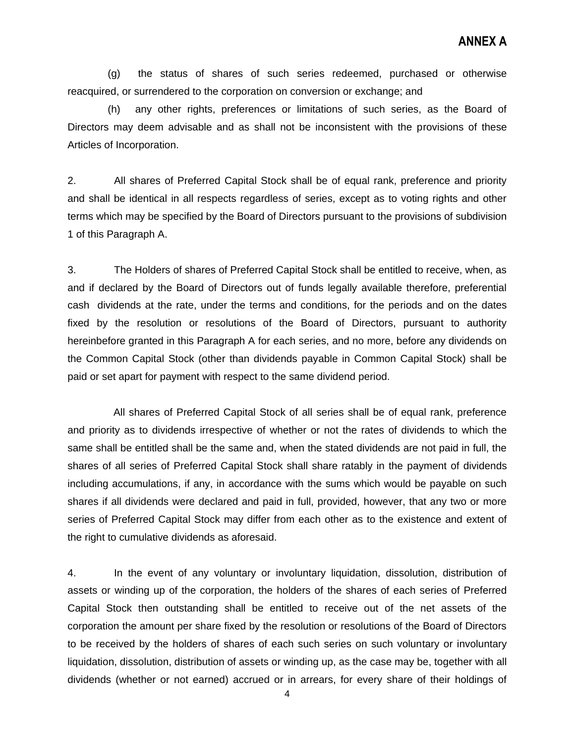(g) the status of shares of such series redeemed, purchased or otherwise reacquired, or surrendered to the corporation on conversion or exchange; and

(h) any other rights, preferences or limitations of such series, as the Board of Directors may deem advisable and as shall not be inconsistent with the provisions of these Articles of Incorporation.

2. All shares of Preferred Capital Stock shall be of equal rank, preference and priority and shall be identical in all respects regardless of series, except as to voting rights and other terms which may be specified by the Board of Directors pursuant to the provisions of subdivision 1 of this Paragraph A.

3. The Holders of shares of Preferred Capital Stock shall be entitled to receive, when, as and if declared by the Board of Directors out of funds legally available therefore, preferential cash dividends at the rate, under the terms and conditions, for the periods and on the dates fixed by the resolution or resolutions of the Board of Directors, pursuant to authority hereinbefore granted in this Paragraph A for each series, and no more, before any dividends on the Common Capital Stock (other than dividends payable in Common Capital Stock) shall be paid or set apart for payment with respect to the same dividend period.

 All shares of Preferred Capital Stock of all series shall be of equal rank, preference and priority as to dividends irrespective of whether or not the rates of dividends to which the same shall be entitled shall be the same and, when the stated dividends are not paid in full, the shares of all series of Preferred Capital Stock shall share ratably in the payment of dividends including accumulations, if any, in accordance with the sums which would be payable on such shares if all dividends were declared and paid in full, provided, however, that any two or more series of Preferred Capital Stock may differ from each other as to the existence and extent of the right to cumulative dividends as aforesaid.

4. In the event of any voluntary or involuntary liquidation, dissolution, distribution of assets or winding up of the corporation, the holders of the shares of each series of Preferred Capital Stock then outstanding shall be entitled to receive out of the net assets of the corporation the amount per share fixed by the resolution or resolutions of the Board of Directors to be received by the holders of shares of each such series on such voluntary or involuntary liquidation, dissolution, distribution of assets or winding up, as the case may be, together with all dividends (whether or not earned) accrued or in arrears, for every share of their holdings of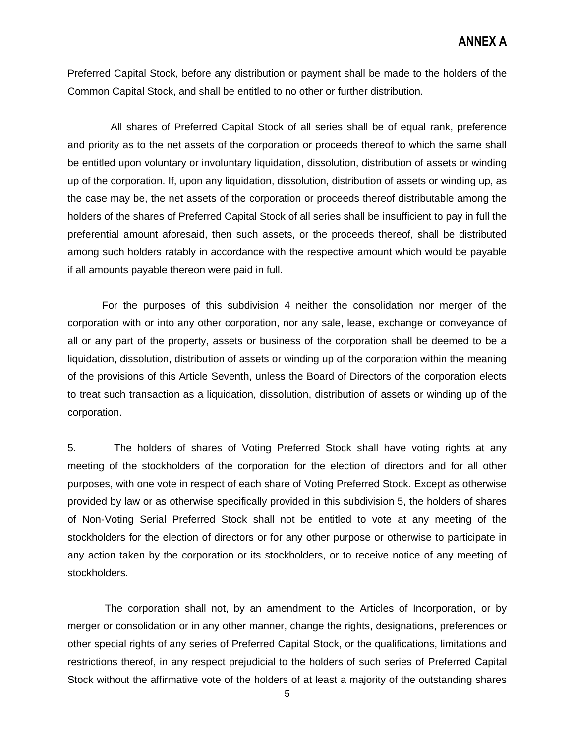Preferred Capital Stock, before any distribution or payment shall be made to the holders of the Common Capital Stock, and shall be entitled to no other or further distribution.

 All shares of Preferred Capital Stock of all series shall be of equal rank, preference and priority as to the net assets of the corporation or proceeds thereof to which the same shall be entitled upon voluntary or involuntary liquidation, dissolution, distribution of assets or winding up of the corporation. If, upon any liquidation, dissolution, distribution of assets or winding up, as the case may be, the net assets of the corporation or proceeds thereof distributable among the holders of the shares of Preferred Capital Stock of all series shall be insufficient to pay in full the preferential amount aforesaid, then such assets, or the proceeds thereof, shall be distributed among such holders ratably in accordance with the respective amount which would be payable if all amounts payable thereon were paid in full.

 For the purposes of this subdivision 4 neither the consolidation nor merger of the corporation with or into any other corporation, nor any sale, lease, exchange or conveyance of all or any part of the property, assets or business of the corporation shall be deemed to be a liquidation, dissolution, distribution of assets or winding up of the corporation within the meaning of the provisions of this Article Seventh, unless the Board of Directors of the corporation elects to treat such transaction as a liquidation, dissolution, distribution of assets or winding up of the corporation.

5. The holders of shares of Voting Preferred Stock shall have voting rights at any meeting of the stockholders of the corporation for the election of directors and for all other purposes, with one vote in respect of each share of Voting Preferred Stock. Except as otherwise provided by law or as otherwise specifically provided in this subdivision 5, the holders of shares of Non-Voting Serial Preferred Stock shall not be entitled to vote at any meeting of the stockholders for the election of directors or for any other purpose or otherwise to participate in any action taken by the corporation or its stockholders, or to receive notice of any meeting of stockholders.

 The corporation shall not, by an amendment to the Articles of Incorporation, or by merger or consolidation or in any other manner, change the rights, designations, preferences or other special rights of any series of Preferred Capital Stock, or the qualifications, limitations and restrictions thereof, in any respect prejudicial to the holders of such series of Preferred Capital Stock without the affirmative vote of the holders of at least a majority of the outstanding shares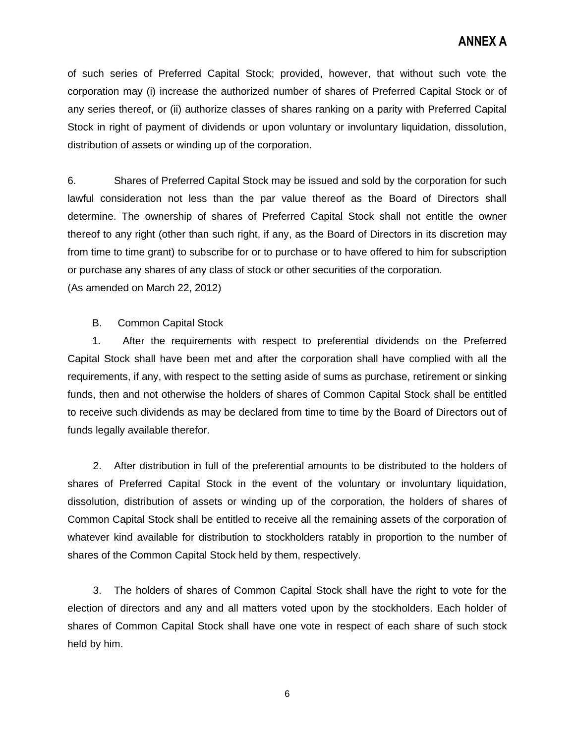## **ANNEX A**

of such series of Preferred Capital Stock; provided, however, that without such vote the corporation may (i) increase the authorized number of shares of Preferred Capital Stock or of any series thereof, or (ii) authorize classes of shares ranking on a parity with Preferred Capital Stock in right of payment of dividends or upon voluntary or involuntary liquidation, dissolution, distribution of assets or winding up of the corporation.

6. Shares of Preferred Capital Stock may be issued and sold by the corporation for such lawful consideration not less than the par value thereof as the Board of Directors shall determine. The ownership of shares of Preferred Capital Stock shall not entitle the owner thereof to any right (other than such right, if any, as the Board of Directors in its discretion may from time to time grant) to subscribe for or to purchase or to have offered to him for subscription or purchase any shares of any class of stock or other securities of the corporation. (As amended on March 22, 2012)

B. Common Capital Stock

1. After the requirements with respect to preferential dividends on the Preferred Capital Stock shall have been met and after the corporation shall have complied with all the requirements, if any, with respect to the setting aside of sums as purchase, retirement or sinking funds, then and not otherwise the holders of shares of Common Capital Stock shall be entitled to receive such dividends as may be declared from time to time by the Board of Directors out of funds legally available therefor.

2. After distribution in full of the preferential amounts to be distributed to the holders of shares of Preferred Capital Stock in the event of the voluntary or involuntary liquidation, dissolution, distribution of assets or winding up of the corporation, the holders of shares of Common Capital Stock shall be entitled to receive all the remaining assets of the corporation of whatever kind available for distribution to stockholders ratably in proportion to the number of shares of the Common Capital Stock held by them, respectively.

3. The holders of shares of Common Capital Stock shall have the right to vote for the election of directors and any and all matters voted upon by the stockholders. Each holder of shares of Common Capital Stock shall have one vote in respect of each share of such stock held by him.

6